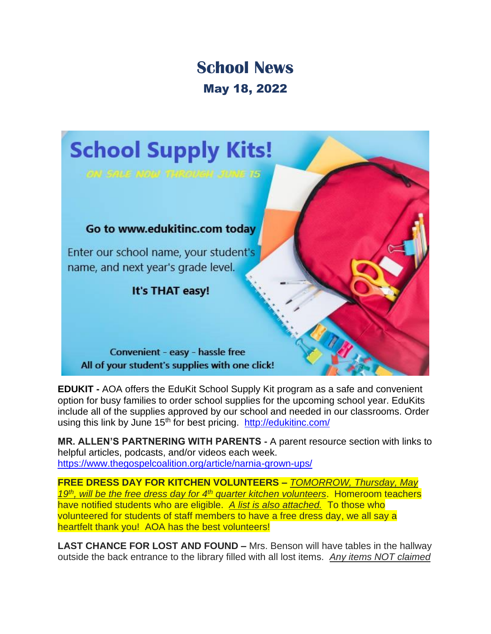## **School News** May 18, 2022



**EDUKIT -** AOA offers the EduKit School Supply Kit program as a safe and convenient option for busy families to order school supplies for the upcoming school year. EduKits include all of the supplies approved by our school and needed in our classrooms. Order using this link by June 15<sup>th</sup> for best pricing. <http://edukitinc.com/>

**MR. ALLEN'S PARTNERING WITH PARENTS -** A parent resource section with links to helpful articles, podcasts, and/or videos each week. <https://www.thegospelcoalition.org/article/narnia-grown-ups/>

**FREE DRESS DAY FOR KITCHEN VOLUNTEERS –** *TOMORROW, Thursday, May 19th, will be the free dress day for 4th quarter kitchen volunteers*. Homeroom teachers have notified students who are eligible. *A list is also attached.* To those who volunteered for students of staff members to have a free dress day, we all say a heartfelt thank you! AOA has the best volunteers!

**LAST CHANCE FOR LOST AND FOUND –** Mrs. Benson will have tables in the hallway outside the back entrance to the library filled with all lost items. *Any items NOT claimed*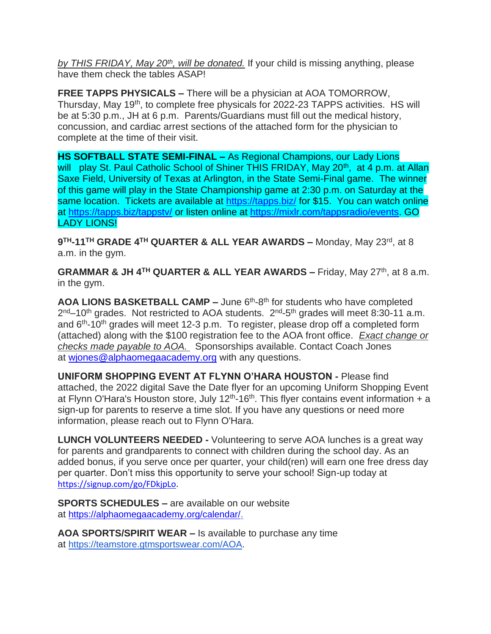*by THIS FRIDAY, May 20th, will be donated.* If your child is missing anything, please have them check the tables ASAP!

**FREE TAPPS PHYSICALS –** There will be a physician at AOA TOMORROW, Thursday, May 19<sup>th</sup>, to complete free physicals for 2022-23 TAPPS activities. HS will be at 5:30 p.m., JH at 6 p.m. Parents/Guardians must fill out the medical history, concussion, and cardiac arrest sections of the attached form for the physician to complete at the time of their visit.

**HS SOFTBALL STATE SEMI-FINAL –** As Regional Champions, our Lady Lions will play St. Paul Catholic School of Shiner THIS FRIDAY, May 20<sup>th</sup>, at 4 p.m. at Allan Saxe Field, University of Texas at Arlington, in the State Semi-Final game. The winner of this game will play in the State Championship game at 2:30 p.m. on Saturday at the same location. Tickets are available at<https://tapps.biz/> for \$15. You can watch online at<https://tapps.biz/tappstv/> or listen online at [https://mixlr.com/tappsradio/events.](https://mixlr.com/tappsradio/events) GO LADY LIONS!

**9 TH-11TH GRADE 4TH QUARTER & ALL YEAR AWARDS –** Monday, May 23rd, at 8 a.m. in the gym.

**GRAMMAR & JH 4TH QUARTER & ALL YEAR AWARDS –** Friday, May 27th, at 8 a.m. in the gym.

AOA LIONS BASKETBALL CAMP - June 6<sup>th</sup>-8<sup>th</sup> for students who have completed 2<sup>nd</sup>–10<sup>th</sup> grades. Not restricted to AOA students. 2<sup>nd</sup>-5<sup>th</sup> grades will meet 8:30-11 a.m. and 6<sup>th</sup>-10<sup>th</sup> grades will meet 12-3 p.m. To register, please drop off a completed form (attached) along with the \$100 registration fee to the AOA front office. *Exact change or checks made payable to AOA.* Sponsorships available. Contact Coach Jones at wiones@alphaomegaacademy.org with any questions.

**UNIFORM SHOPPING EVENT AT FLYNN O'HARA HOUSTON -** Please find attached, the 2022 digital Save the Date flyer for an upcoming Uniform Shopping Event at Flynn O'Hara's Houston store, July  $12<sup>th</sup>$ -16<sup>th</sup>. This flyer contains event information + a sign-up for parents to reserve a time slot. If you have any questions or need more information, please reach out to Flynn O'Hara.

**LUNCH VOLUNTEERS NEEDED -** Volunteering to serve AOA lunches is a great way for parents and grandparents to connect with children during the school day. As an added bonus, if you serve once per quarter, your child(ren) will earn one free dress day per quarter. Don't miss this opportunity to serve your school! Sign-up today at [https://signup.com/go/FDkjpLo.](https://signup.com/go/FDkjpLo)

**SPORTS SCHEDULES –** are available on our website at [https://alphaomegaacademy.org/calendar/.](https://alphaomegaacademy.org/calendar/)

**AOA SPORTS/SPIRIT WEAR –** Is available to purchase any time at [https://teamstore.gtmsportswear.com/AOA.](https://teamstore.gtmsportswear.com/AOA)